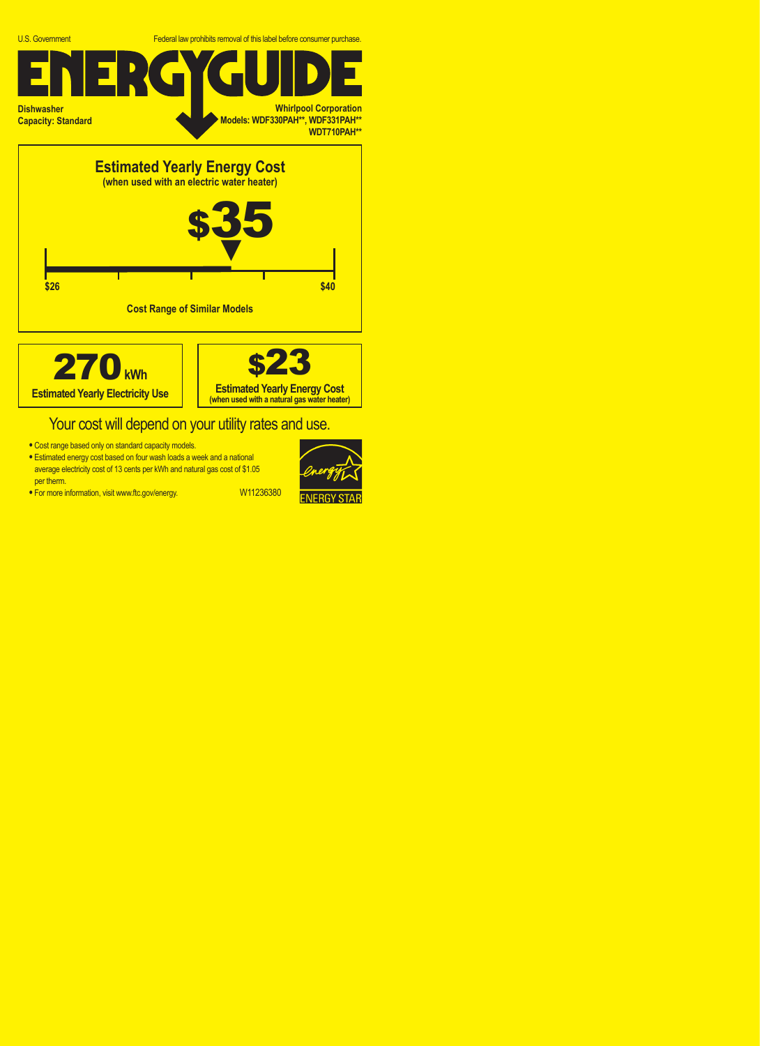





## Your cost will depend on your utility rates and use.

- **•** Cost range based only on standard capacity models.
- **•** Estimated energy cost based on four wash loads a week and a national average electricity cost of 13 cents per kWh and natural gas cost of \$1.05 per therm.
- For more information, visit www.ftc.gov/energy. W11236380